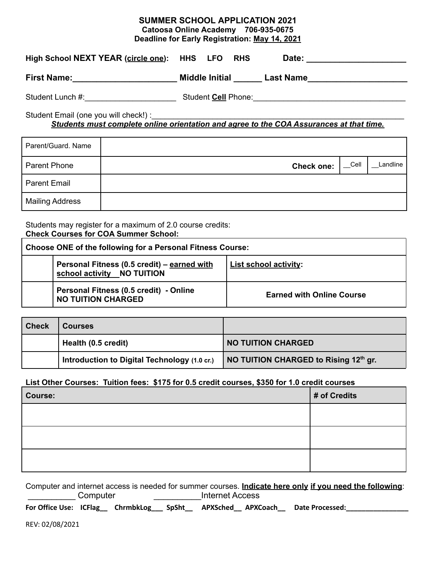| <b>SUMMER SCHOOL APPLICATION 2021</b><br>Catoosa Online Academy 706-935-0675<br>Deadline for Early Registration: May 14, 2021    |  |  |  |  |                   |      |          |
|----------------------------------------------------------------------------------------------------------------------------------|--|--|--|--|-------------------|------|----------|
| High School NEXT YEAR (circle one): HHS LFO RHS                                                                                  |  |  |  |  |                   |      |          |
| First Name: _________________________________ Middle Initial ________ Last Name_____________________                             |  |  |  |  |                   |      |          |
|                                                                                                                                  |  |  |  |  |                   |      |          |
| Student Email (one you will check!) :<br>Students must complete online orientation and agree to the COA Assurances at that time. |  |  |  |  |                   |      |          |
| Parent/Guard. Name                                                                                                               |  |  |  |  |                   |      |          |
| <b>Parent Phone</b>                                                                                                              |  |  |  |  | <b>Check one:</b> | Cell | Landline |
| <b>Parent Email</b>                                                                                                              |  |  |  |  |                   |      |          |
| <b>Mailing Address</b>                                                                                                           |  |  |  |  |                   |      |          |

Students may register for a maximum of 2.0 course credits: **Check Courses for COA Summer School:**

| Choose ONE of the following for a Personal Fitness Course: |                                                                           |                                  |  |  |
|------------------------------------------------------------|---------------------------------------------------------------------------|----------------------------------|--|--|
|                                                            | Personal Fitness (0.5 credit) – earned with<br>school activity NO TUITION | List school activity:            |  |  |
|                                                            | Personal Fitness (0.5 credit) - Online<br><b>NO TUITION CHARGED</b>       | <b>Earned with Online Course</b> |  |  |

| <b>Check</b> | <b>Courses</b>                               |                                       |
|--------------|----------------------------------------------|---------------------------------------|
|              | Health (0.5 credit)                          | <b>NO TUITION CHARGED</b>             |
|              | Introduction to Digital Technology (1.0 cr.) | NO TUITION CHARGED to Rising 12th gr. |

## **List Other Courses: Tuition fees: \$175 for 0.5 credit courses, \$350 for 1.0 credit courses**

| Course: | # of Credits |
|---------|--------------|
|         |              |
|         |              |
|         |              |

Computer and internet access is needed for summer courses. **Indicate here only if you need the following**: \_\_\_\_\_\_\_\_\_\_ Computer \_\_\_\_\_\_\_\_\_\_Internet Access

**For Office Use: ICFlag\_\_ ChrmbkLog\_\_\_ SpSht\_\_ APXSched\_\_ APXCoach\_\_ Date Processed:\_\_\_\_\_\_\_\_\_\_\_\_\_\_\_\_**

REV: 02/08/2021